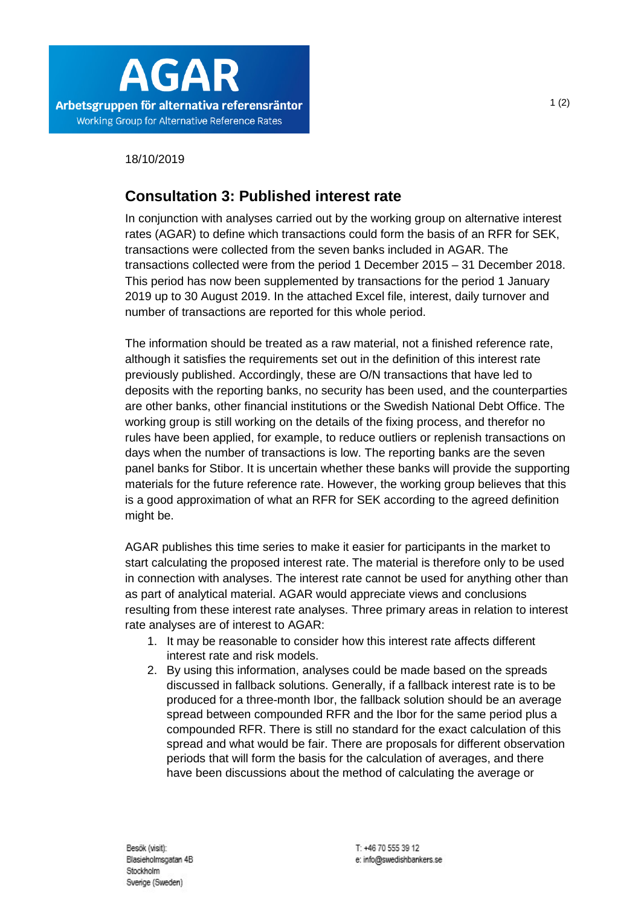

18/10/2019

## **Consultation 3: Published interest rate**

In conjunction with analyses carried out by the working group on alternative interest rates (AGAR) to define which transactions could form the basis of an RFR for SEK, transactions were collected from the seven banks included in AGAR. The transactions collected were from the period 1 December 2015 – 31 December 2018. This period has now been supplemented by transactions for the period 1 January 2019 up to 30 August 2019. In the attached Excel file, interest, daily turnover and number of transactions are reported for this whole period.

The information should be treated as a raw material, not a finished reference rate, although it satisfies the requirements set out in the definition of this interest rate previously published. Accordingly, these are O/N transactions that have led to deposits with the reporting banks, no security has been used, and the counterparties are other banks, other financial institutions or the Swedish National Debt Office. The working group is still working on the details of the fixing process, and therefor no rules have been applied, for example, to reduce outliers or replenish transactions on days when the number of transactions is low. The reporting banks are the seven panel banks for Stibor. It is uncertain whether these banks will provide the supporting materials for the future reference rate. However, the working group believes that this is a good approximation of what an RFR for SEK according to the agreed definition might be.

AGAR publishes this time series to make it easier for participants in the market to start calculating the proposed interest rate. The material is therefore only to be used in connection with analyses. The interest rate cannot be used for anything other than as part of analytical material. AGAR would appreciate views and conclusions resulting from these interest rate analyses. Three primary areas in relation to interest rate analyses are of interest to AGAR:

- 1. It may be reasonable to consider how this interest rate affects different interest rate and risk models.
- 2. By using this information, analyses could be made based on the spreads discussed in fallback solutions. Generally, if a fallback interest rate is to be produced for a three-month Ibor, the fallback solution should be an average spread between compounded RFR and the Ibor for the same period plus a compounded RFR. There is still no standard for the exact calculation of this spread and what would be fair. There are proposals for different observation periods that will form the basis for the calculation of averages, and there have been discussions about the method of calculating the average or

1 (2)